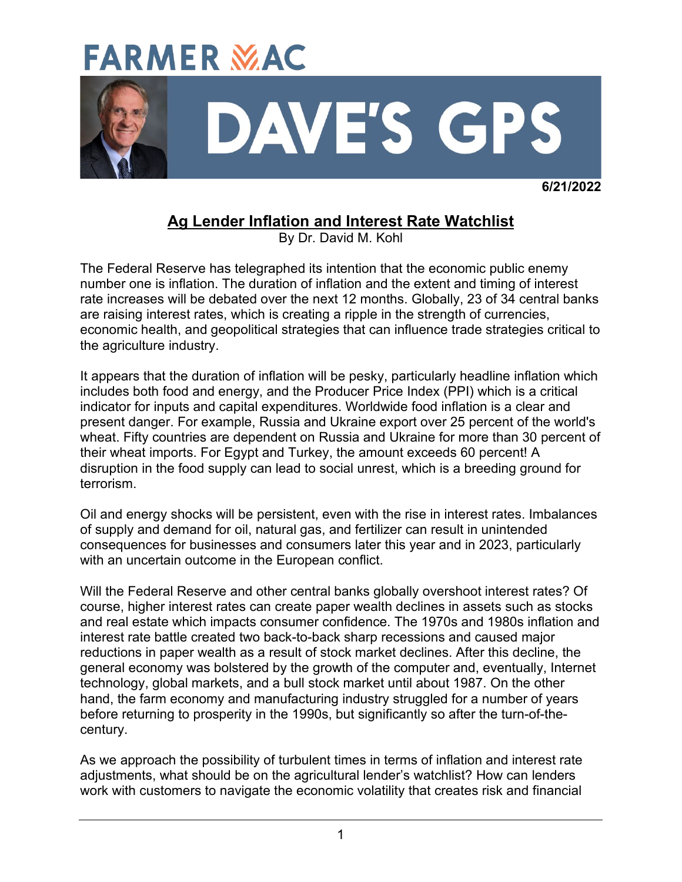

 **6/21/2022**

# **Ag Lender Inflation and Interest Rate Watchlist**

By Dr. David M. Kohl

The Federal Reserve has telegraphed its intention that the economic public enemy number one is inflation. The duration of inflation and the extent and timing of interest rate increases will be debated over the next 12 months. Globally, 23 of 34 central banks are raising interest rates, which is creating a ripple in the strength of currencies, economic health, and geopolitical strategies that can influence trade strategies critical to the agriculture industry.

It appears that the duration of inflation will be pesky, particularly headline inflation which includes both food and energy, and the Producer Price Index (PPI) which is a critical indicator for inputs and capital expenditures. Worldwide food inflation is a clear and present danger. For example, Russia and Ukraine export over 25 percent of the world's wheat. Fifty countries are dependent on Russia and Ukraine for more than 30 percent of their wheat imports. For Egypt and Turkey, the amount exceeds 60 percent! A disruption in the food supply can lead to social unrest, which is a breeding ground for terrorism.

Oil and energy shocks will be persistent, even with the rise in interest rates. Imbalances of supply and demand for oil, natural gas, and fertilizer can result in unintended consequences for businesses and consumers later this year and in 2023, particularly with an uncertain outcome in the European conflict.

Will the Federal Reserve and other central banks globally overshoot interest rates? Of course, higher interest rates can create paper wealth declines in assets such as stocks and real estate which impacts consumer confidence. The 1970s and 1980s inflation and interest rate battle created two back-to-back sharp recessions and caused major reductions in paper wealth as a result of stock market declines. After this decline, the general economy was bolstered by the growth of the computer and, eventually, Internet technology, global markets, and a bull stock market until about 1987. On the other hand, the farm economy and manufacturing industry struggled for a number of years before returning to prosperity in the 1990s, but significantly so after the turn-of-thecentury.

As we approach the possibility of turbulent times in terms of inflation and interest rate adjustments, what should be on the agricultural lender's watchlist? How can lenders work with customers to navigate the economic volatility that creates risk and financial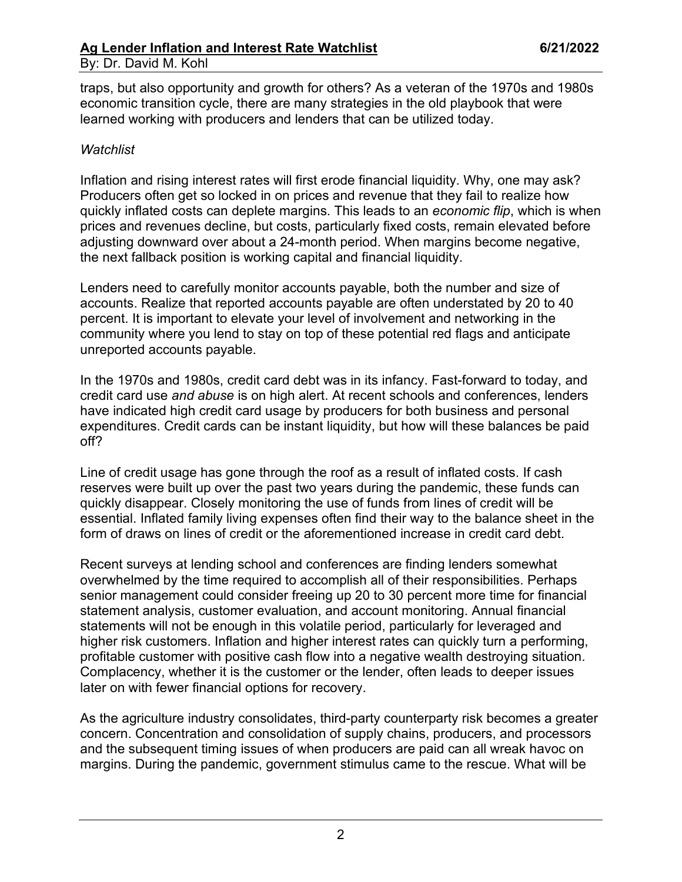traps, but also opportunity and growth for others? As a veteran of the 1970s and 1980s economic transition cycle, there are many strategies in the old playbook that were learned working with producers and lenders that can be utilized today.

#### *Watchlist*

Inflation and rising interest rates will first erode financial liquidity. Why, one may ask? Producers often get so locked in on prices and revenue that they fail to realize how quickly inflated costs can deplete margins. This leads to an *economic flip*, which is when prices and revenues decline, but costs, particularly fixed costs, remain elevated before adjusting downward over about a 24-month period. When margins become negative, the next fallback position is working capital and financial liquidity.

Lenders need to carefully monitor accounts payable, both the number and size of accounts. Realize that reported accounts payable are often understated by 20 to 40 percent. It is important to elevate your level of involvement and networking in the community where you lend to stay on top of these potential red flags and anticipate unreported accounts payable.

In the 1970s and 1980s, credit card debt was in its infancy. Fast-forward to today, and credit card use *and abuse* is on high alert. At recent schools and conferences, lenders have indicated high credit card usage by producers for both business and personal expenditures. Credit cards can be instant liquidity, but how will these balances be paid off?

Line of credit usage has gone through the roof as a result of inflated costs. If cash reserves were built up over the past two years during the pandemic, these funds can quickly disappear. Closely monitoring the use of funds from lines of credit will be essential. Inflated family living expenses often find their way to the balance sheet in the form of draws on lines of credit or the aforementioned increase in credit card debt.

Recent surveys at lending school and conferences are finding lenders somewhat overwhelmed by the time required to accomplish all of their responsibilities. Perhaps senior management could consider freeing up 20 to 30 percent more time for financial statement analysis, customer evaluation, and account monitoring. Annual financial statements will not be enough in this volatile period, particularly for leveraged and higher risk customers. Inflation and higher interest rates can quickly turn a performing, profitable customer with positive cash flow into a negative wealth destroying situation. Complacency, whether it is the customer or the lender, often leads to deeper issues later on with fewer financial options for recovery.

As the agriculture industry consolidates, third-party counterparty risk becomes a greater concern. Concentration and consolidation of supply chains, producers, and processors and the subsequent timing issues of when producers are paid can all wreak havoc on margins. During the pandemic, government stimulus came to the rescue. What will be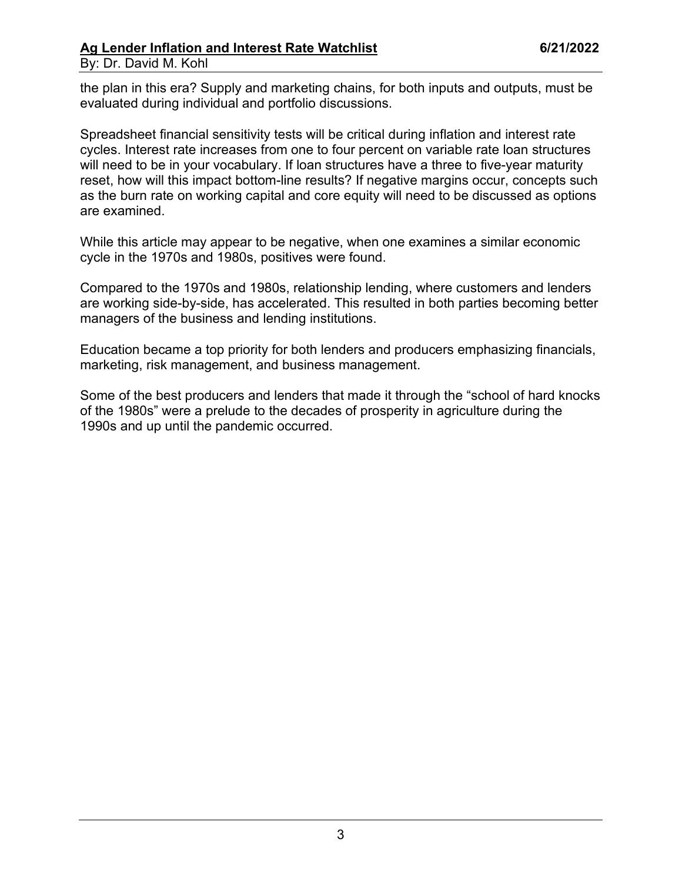### Ag Lender Inflation and Interest Rate Watchlist **6/21/2022** By: Dr. David M. Kohl

the plan in this era? Supply and marketing chains, for both inputs and outputs, must be evaluated during individual and portfolio discussions.

Spreadsheet financial sensitivity tests will be critical during inflation and interest rate cycles. Interest rate increases from one to four percent on variable rate loan structures will need to be in your vocabulary. If loan structures have a three to five-year maturity reset, how will this impact bottom-line results? If negative margins occur, concepts such as the burn rate on working capital and core equity will need to be discussed as options are examined.

While this article may appear to be negative, when one examines a similar economic cycle in the 1970s and 1980s, positives were found.

Compared to the 1970s and 1980s, relationship lending, where customers and lenders are working side-by-side, has accelerated. This resulted in both parties becoming better managers of the business and lending institutions.

Education became a top priority for both lenders and producers emphasizing financials, marketing, risk management, and business management.

Some of the best producers and lenders that made it through the "school of hard knocks of the 1980s" were a prelude to the decades of prosperity in agriculture during the 1990s and up until the pandemic occurred.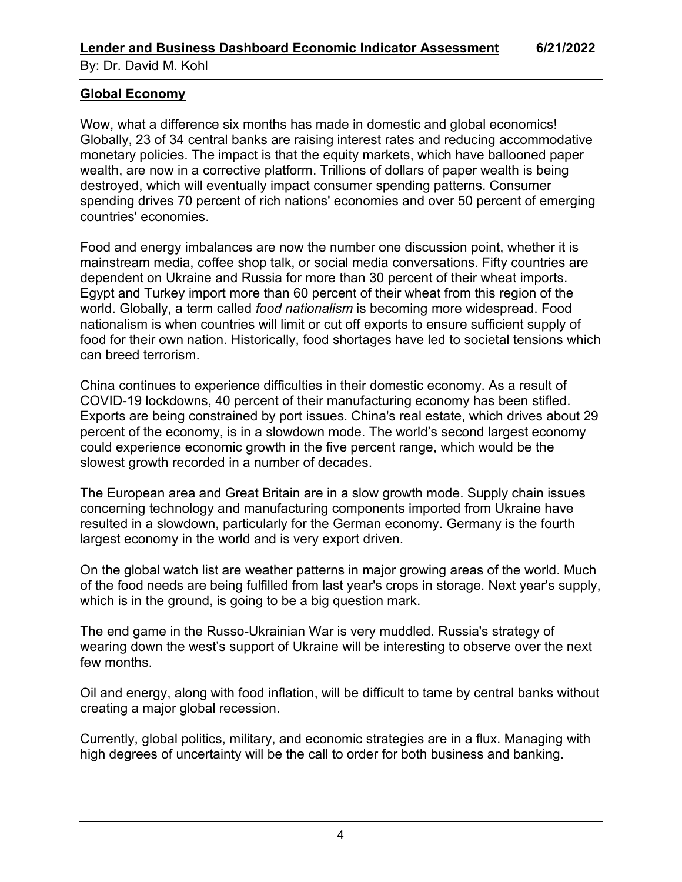## **Global Economy**

Wow, what a difference six months has made in domestic and global economics! Globally, 23 of 34 central banks are raising interest rates and reducing accommodative monetary policies. The impact is that the equity markets, which have ballooned paper wealth, are now in a corrective platform. Trillions of dollars of paper wealth is being destroyed, which will eventually impact consumer spending patterns. Consumer spending drives 70 percent of rich nations' economies and over 50 percent of emerging countries' economies.

Food and energy imbalances are now the number one discussion point, whether it is mainstream media, coffee shop talk, or social media conversations. Fifty countries are dependent on Ukraine and Russia for more than 30 percent of their wheat imports. Egypt and Turkey import more than 60 percent of their wheat from this region of the world. Globally, a term called *food nationalism* is becoming more widespread. Food nationalism is when countries will limit or cut off exports to ensure sufficient supply of food for their own nation. Historically, food shortages have led to societal tensions which can breed terrorism.

China continues to experience difficulties in their domestic economy. As a result of COVID-19 lockdowns, 40 percent of their manufacturing economy has been stifled. Exports are being constrained by port issues. China's real estate, which drives about 29 percent of the economy, is in a slowdown mode. The world's second largest economy could experience economic growth in the five percent range, which would be the slowest growth recorded in a number of decades.

The European area and Great Britain are in a slow growth mode. Supply chain issues concerning technology and manufacturing components imported from Ukraine have resulted in a slowdown, particularly for the German economy. Germany is the fourth largest economy in the world and is very export driven.

On the global watch list are weather patterns in major growing areas of the world. Much of the food needs are being fulfilled from last year's crops in storage. Next year's supply, which is in the ground, is going to be a big question mark.

The end game in the Russo-Ukrainian War is very muddled. Russia's strategy of wearing down the west's support of Ukraine will be interesting to observe over the next few months.

Oil and energy, along with food inflation, will be difficult to tame by central banks without creating a major global recession.

Currently, global politics, military, and economic strategies are in a flux. Managing with high degrees of uncertainty will be the call to order for both business and banking.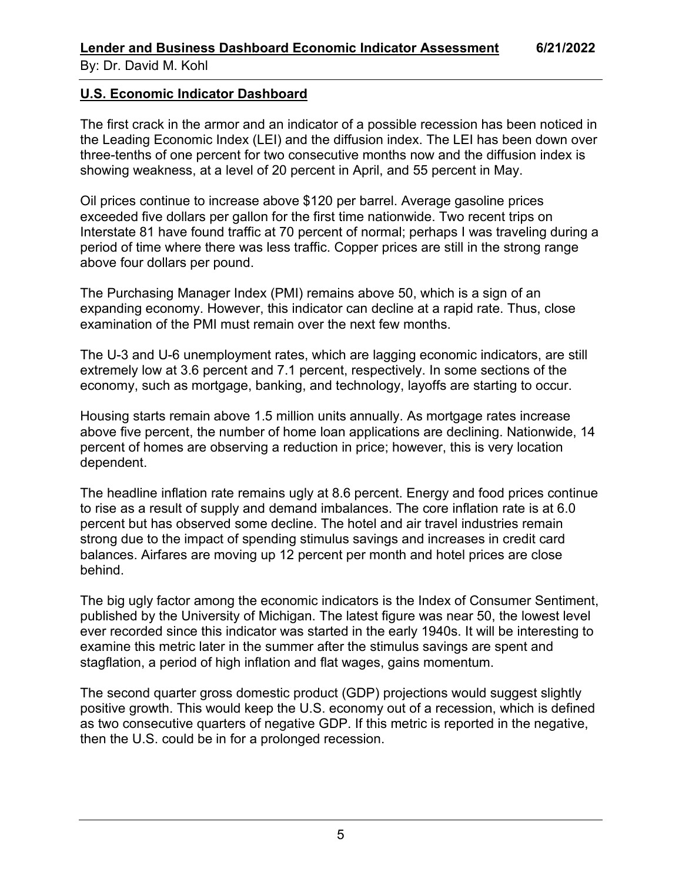By: Dr. David M. Kohl

# **U.S. Economic Indicator Dashboard**

The first crack in the armor and an indicator of a possible recession has been noticed in the Leading Economic Index (LEI) and the diffusion index. The LEI has been down over three-tenths of one percent for two consecutive months now and the diffusion index is showing weakness, at a level of 20 percent in April, and 55 percent in May.

Oil prices continue to increase above \$120 per barrel. Average gasoline prices exceeded five dollars per gallon for the first time nationwide. Two recent trips on Interstate 81 have found traffic at 70 percent of normal; perhaps I was traveling during a period of time where there was less traffic. Copper prices are still in the strong range above four dollars per pound.

The Purchasing Manager Index (PMI) remains above 50, which is a sign of an expanding economy. However, this indicator can decline at a rapid rate. Thus, close examination of the PMI must remain over the next few months.

The U-3 and U-6 unemployment rates, which are lagging economic indicators, are still extremely low at 3.6 percent and 7.1 percent, respectively. In some sections of the economy, such as mortgage, banking, and technology, layoffs are starting to occur.

Housing starts remain above 1.5 million units annually. As mortgage rates increase above five percent, the number of home loan applications are declining. Nationwide, 14 percent of homes are observing a reduction in price; however, this is very location dependent.

The headline inflation rate remains ugly at 8.6 percent. Energy and food prices continue to rise as a result of supply and demand imbalances. The core inflation rate is at 6.0 percent but has observed some decline. The hotel and air travel industries remain strong due to the impact of spending stimulus savings and increases in credit card balances. Airfares are moving up 12 percent per month and hotel prices are close behind.

The big ugly factor among the economic indicators is the Index of Consumer Sentiment, published by the University of Michigan. The latest figure was near 50, the lowest level ever recorded since this indicator was started in the early 1940s. It will be interesting to examine this metric later in the summer after the stimulus savings are spent and stagflation, a period of high inflation and flat wages, gains momentum.

The second quarter gross domestic product (GDP) projections would suggest slightly positive growth. This would keep the U.S. economy out of a recession, which is defined as two consecutive quarters of negative GDP. If this metric is reported in the negative, then the U.S. could be in for a prolonged recession.